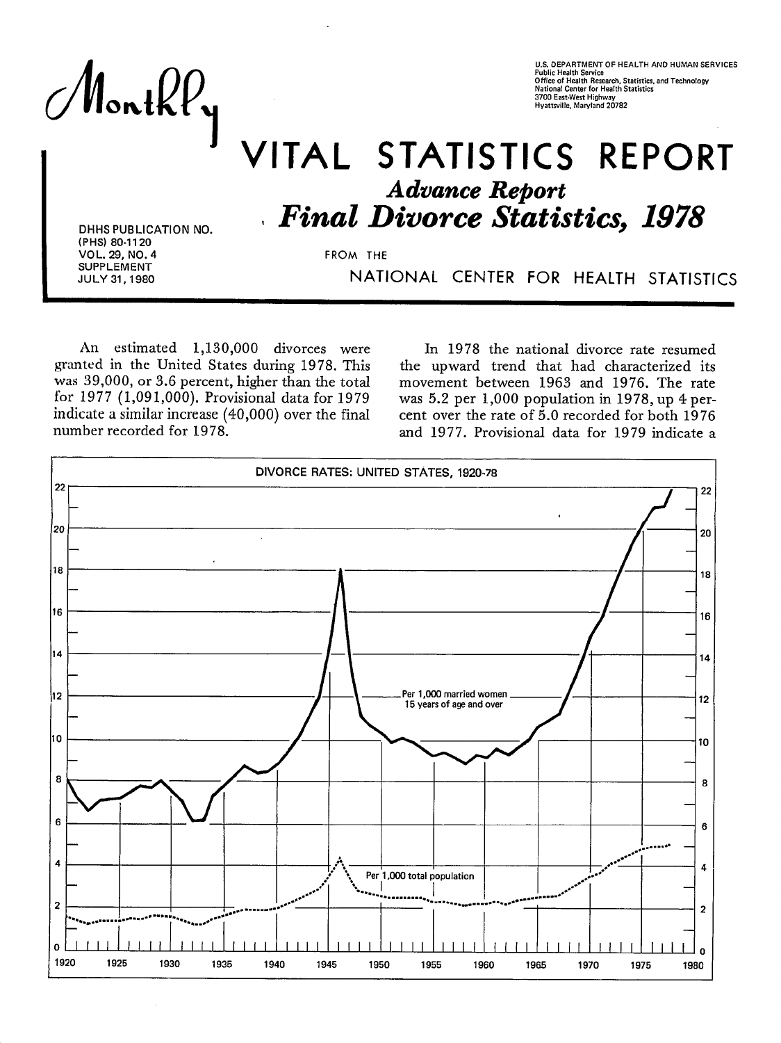Monthly

U.S. DEPARTMENT OF HEALTH AND HUMAN SERVICES lic Health Service Office of Health Research, Statistics, and Technology **Mational Center for Health Statistics**<br>3700 East-West Highway<br>Hyattsville, Maryland 20782

# **/ITAL STATISTICS REPORT Advance Report Final Divorce Statistics, 1978**

DHHS PUBLICATION NO. (PHS) 80-1120 VOL. 29, NO. 4 **SUPPLEMENT** JULY 31, 1980

FROM THE

NATIONAL CENTER FOR HEALTH STATISTICS

An estimated 1,130,000 divorces were granted in the United States during 1978. This was 39,000, or 3.6 percent, higher than the total for 1977 (1,091,000). Provisional data for 1979 indicate a similar increase (40,000) over the final number recorded for 1978.

In 1978 the national divorce rate resumed the upward trend that had characterized its movement between 1963 and 1976. The rate was 5.2 per 1,000 population in 1978, up 4 percent over the rate of 5.0 recorded for both 1976 and 1977. Provisional data for 1979 indicate a

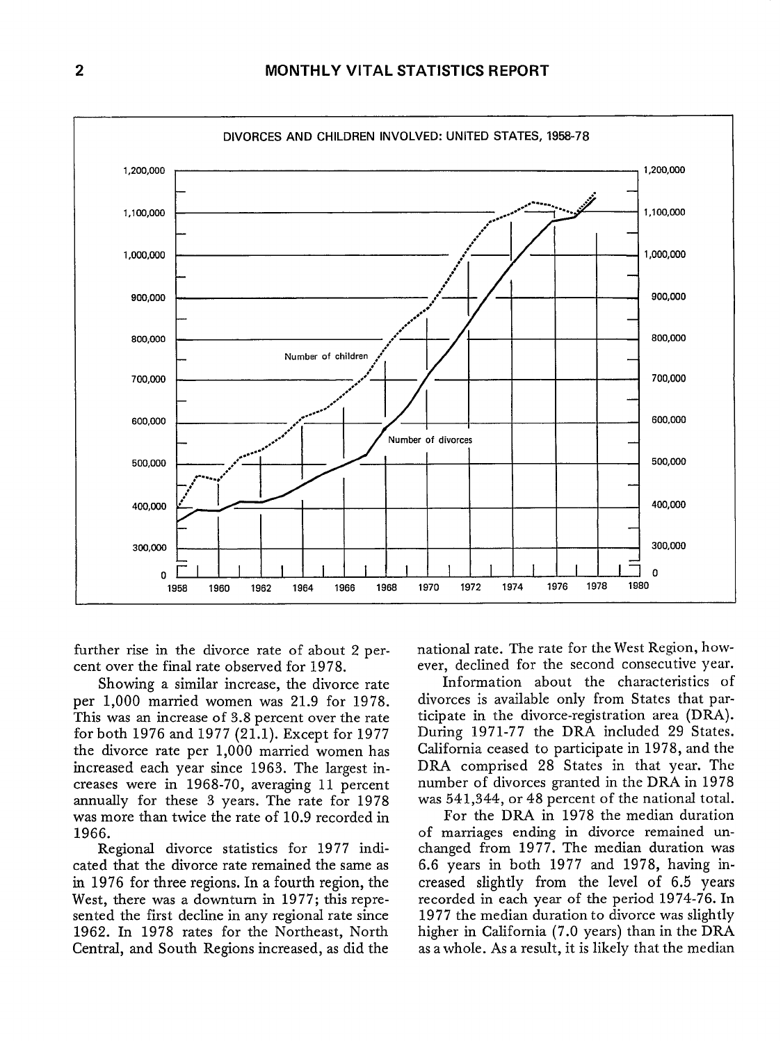

further rise in the divorce rate of about 2 percent over the final rate observed for 1978.

Showing a similar increase, the divorce rate per 1,000 married women was 21.9 for 1978. This was an increase of 3.8 percent over the rate for both 1976 and 1977 (21.1). Except for 1977 the divorce rate per 1,000 married women has increased each year since 1963. The largest increases were in 1968-70, averaging 11 percent annually for these 3 years. The rate for 1978 was more than twice the rate of 10.9 recorded in 1966.

Regional divorce statistics for 1977 indicated that the divorce rate remained the same as in 1976 for three regions. In a fourth region, the West, there was a downturn in 1977; this represented the first decline in any regional rate since 1962. In 1978 rates for the Northeast, North Central, and South Regions increased, as did the

national rate. The rate for the West Region, however, declined for the second consecutive year.

Information about the characteristics of divorces is available only from States that participate in the divorce-registration area (DRA). During 1971-77 the DRA included 29 States. California ceased to participate in 1978, and the DRA comprised 28 States in that year. The number of divorces granted in the DRA in 1978 was 541,344, or 48 percent of the national total.

For the DRA in 1978 the median duration of marriages ending in divorce remained unchanged from 1977. The median duration was 6.6 years in both 1977 and 1978, having increased slightly from the level of **6.5 years**  recorded in each year of the period 1974-76. In 1977 the median duration to divorce was slightly higher in California (7.0 years) than in the DRA as a whole. As a result, it is likely that the median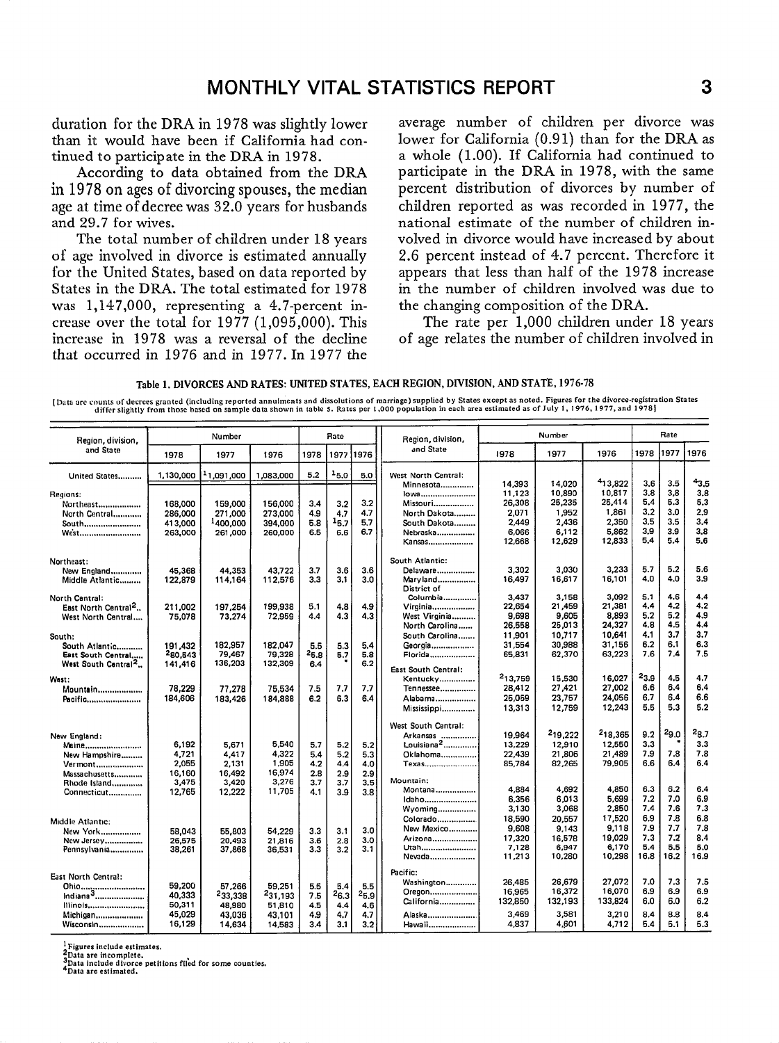duration for the DRA in 1978 was slightly lower than it would have been if California had continued to participate in the DRA in 1978.

According to data obtained from the DRA in 1978 on ages of divorcing spouses, the median age at time of decree was  $32.0$  years for husbands and 29.7 for wives.

The total number of children under 18 years of age involved in divorce is estimated annually for the United States, based on data reported by States in the DRA. The total estimated for 1978 was 1,147,000, representing a 4.7-percent increase over the total for  $1977$  (1,095,000). This increase in 1978 was a reversal of the decline that occurred in 1976 and in 1977. In 1977 the

average number of children per divorce was lower for California (0.91) than for the DRA as a whole (1.00). If California had continued to participate in the DRA in 1978, with the same percent distribution of divorces by number of children reported as was recorded in 1977, the national estimate of the number of children involved in divorce would have increased by about 2.6 percent instead of 4.7 percent. Therefore it appears that less than half of the 1978 increase in the number of children involved was due to the changing composition of the DRA.

The rate per 1,000 children under 18 years of age relates the number of children involved in

Table 1, DIVORCES AND RATES: UNITED STATES, EACH REGION, DIVISION, AND STATE, 1976-78

Data are counts of decrees granted (including reported annuiments and dissolutions of marriage) supplied by States except as noted. Figures for the divorce-registration States [316] (Data are astimated as of July 1, 1976,

| Region, division,               | Number    |            | Rate                |           |           | Region, division, |                                    | Number          |                 | Rate            |            |            |            |
|---------------------------------|-----------|------------|---------------------|-----------|-----------|-------------------|------------------------------------|-----------------|-----------------|-----------------|------------|------------|------------|
| and State                       | 1978      | 1977       | 1976                | 1978      | 1977      | 1976              | and State                          | 1978            | 1977            | 1976            | 1978       | 1977       | 1976       |
| United States                   | 1,130,000 | -1,091,000 | 1,083,000           | 5.2       | $1_{5,0}$ | 5.0               | West North Central:                |                 |                 |                 |            |            |            |
|                                 |           |            |                     |           |           |                   | Minnesota                          | 14,393          | 14,020          | 413,822         | 3.6        | 3.5        | 43.5       |
| Regions:                        |           |            |                     |           |           |                   | lowa                               | 11,123          | 10,890          | 10,817          | 3.8        | 3,8        | 3.8        |
| Northeast                       | 168,000   | 159,000    | 156,000             | 3,4       | 3.2       | 3.2               | Missouri                           | 26,308          | 25,235          | 25,414          | 5,4        | 5.3        | 5,3        |
| North Central                   | 286,000   | 271,000    | 273.000             | 4.9       | 4.7       | 4.7               | North Dakota                       | 2.071           | 1,952           | 1,861           | 3,2        | 3.0        | 2.9        |
| South                           | 413,000   | 1400,000   | 394,000             | 5.8       | 15.7      | 5.7               | South Dakota                       | 2,449           | 2,436           | 2,350           | 3,5        | 3.5        | 3,4        |
| <b>West</b>                     | 263,000   | 261,000    | 260,000             | 6.5       | 6.6       | 6.7               | Nebraska<br>Kansas                 | 6,066<br>12,668 | 6.112<br>12,629 | 5,862<br>12,833 | 3.9<br>5.4 | 3.9<br>5.4 | 3,8<br>5.6 |
| Northeast:                      |           |            |                     |           |           |                   | South Atlantic:                    |                 |                 |                 |            |            |            |
| New England                     | 45,368    | 44,353     | 43,722              | 3.7       | 3.6       | 3.6               | Delaware                           | 3,302           | 3,030           | 3,233           | 5.7        | 5.2        | 5.6        |
| Middle Atlantic                 | 122,879   | 114,164    | 112,576             | 3,3       | 3,1       | 3.0               | Maryland<br>District of            | 16,497          | 16,617          | 16,101          | 4.0        | 4.0        | 3.9        |
| North Central:                  |           |            |                     |           |           |                   | Columbia                           | 3,437           | 3,158           | 3,092           | 5.1        | 4.6        | 4,4        |
| East North Central <sup>2</sup> | 211.002   | 197,254    | 199.938             | 5.1       | 4.8       | 4.9               | Virginia                           | 22,654          | 21,459          | 21,381          | 4.4        | 4.2        | 4.2        |
| West North Central              | 75,078    | 73,274     | 72,959              | 4.4       | 4.3       | 4.3               | West Virginia                      | 9,698           | 9,605           | 8,893           | 5.2        | 5.2        | 4.9        |
|                                 |           |            |                     |           |           |                   | North Carolina                     | 26,558          | 25,013          | 24.327          | 4.8        | 4.5        | 4.4        |
| South:                          |           |            |                     |           |           |                   | South Carolina                     | 11,901          | 10,717          | 10,641          | 4.1        | 3.7        | 3.7        |
| South Atlantic                  | 191,432   | 182,957    | 182,047             | 5.5       | 5.3       | 5.4               | Georgia                            | 31,554          | 30,988          | 31,156          | 6.2        | 6.1        | 6.3        |
| East South Central              | 280.543   | 79,467     | 79,328              | $^{25.8}$ | 5.7       | 5.8               | Florida                            | 65,831          | 62,370          | 63.223          | 7.6        | 7.4        | 7.5        |
| West South Central <sup>2</sup> | 141,416   | 136,203    | 132,309             | 6.4       |           | 6.2               | East South Central:                |                 |                 |                 |            |            |            |
| West:                           |           |            |                     |           |           |                   | Kentucky                           | 213,759         | 15,530          | 16,027          | $^{23.9}$  | 4.5        | 4.7        |
| Mountain                        | 78,229    | 77,278     | 75,534              | 7.5       | 7.7       | 7.7               | Tennessee                          | 28,412          | 27,421          | 27,002          | 6.6        | 6.4        | 6,4        |
| Pacific                         | 184,606   | 183,426    | 184,888             | 6.2       | 6.3       | 6.4               | Alabama                            | 25,059          | 23,757          | 24,056          | 6.7        | 6.4        | 6.6        |
|                                 |           |            |                     |           |           |                   | Mississippi                        | 13,313          | 12,759          | 12,243          | 5.5        | 5.3        | 5.2        |
|                                 |           |            |                     |           |           |                   | West South Central:                |                 |                 |                 |            |            |            |
| New England:                    |           |            |                     |           |           |                   |                                    | 19.964          | 219,222         | 218,365         | 9.2        | $^{29.0}$  | $^{28.7}$  |
| Maine                           | 6,192     | 5,671      | 5,540               | 5.7       | 5.2       | 5.2               | Arkansas<br>Louisiana <sup>2</sup> | 13,229          | 12,910          | 12,550          | 3.3        |            | 3.3        |
| New Hampshire                   | 4,721     | 4,417      | 4,322               | 5.4       | 5.2       | 5.3               | Oklahoma                           | 22,439          | 21,806          | 21,489          | 7.9        | 7.8        | 7.8        |
| Vermont                         | 2,055     | 2,131      | 1,905               | 4.2       | 4.4       | 4.0               | Texas                              | 85,784          | 82,265          | 79.905          | 6.6        | 6.4        | 6.4        |
| Massachusetts                   | 16,160    | 16,492     | 16,974              | 2.8       | 2.9       | 2.9               |                                    |                 |                 |                 |            |            |            |
| Rhode Island                    | 3,475     | 3,420      | 3,276               | 3.7       | 3.7       | 3.5               | Mountain:                          |                 |                 | 4,850           |            | 6.2        | 6.4        |
| Connecticut                     | 12,765    | 12,222     | 11,705              | 4,1       | 3.9       | 3.8               | Montana                            | 4.884<br>6,356  | 4,692<br>6,013  | 5.699           | 6.3<br>7.2 | 7.0        | 6.9        |
|                                 |           |            |                     |           |           |                   | Idaho<br>Wyoming                   | 3,130           | 3,068           | 2,850           | 7.4        | 7.6        | 7.3        |
|                                 |           |            |                     |           |           |                   | Colorado                           | 18,590          | 20.557          | 17,520          | 6.9        | 7.8        | 6.8        |
| Middle Atlantic:                |           |            |                     |           |           |                   | New Mexico                         | 9,608           | 9.143           | 9,118           | 7.9        | 7.7        | 7.8        |
| New York                        | 58.043    | 55,803     | 54,229              | 3.3       | 3.1       | 3.0               | Arizona                            | 17,320          | 16,578          | 19,029          | 7.3        | 7.2        | 8,4        |
| New Jersey                      | 26,575    | 20,493     | 21,816              | 3.6       | 2.8       | 3.0               | Utah                               | 7,128           | 6.947           | 6,170           | 5.4        | 5.5        | 5.0        |
| Pennsylvania                    | 38,261    | 37,868     | 36,531              | 3.3       | 3.2       | 3.1               | Nevada                             | 11,213          | 10,280          | 10,298          | 16.8       | 16.2       | 16.9       |
| East North Central:             |           |            |                     |           |           |                   | Pacific:                           |                 |                 |                 |            |            |            |
|                                 | 59,200    | 57,266     | 59,251              | 5.5       | 5.4       | 5.5               | Washington                         | 26,485          | 26.679          | 27.072          | 7.0        | 7.3        | 7.5        |
| Indiana <sup>3</sup>            | 40,333    | 233,338    | <sup>2</sup> 31,193 | 7.5       | 26.3      | $^{25,9}$         | Oregon                             | 16.965          | 16,372          | 16,070          | 6.9        | 6.9        | 6.9        |
| lllinois,                       | 50,311    | 48,980     | 51,810              | 4.5       | 4.4       | 4.6               | California                         | 132,850         | 132,193         | 133,824         | 6.0        | 6.0        | 6.2        |
| Michigan                        | 45.029    | 43,036     | 43,101              | 4.9       | 4,7       | 4.7               | Alaska                             | 3.469           | 3,581           | 3,210           | 8,4        | 8.8        | 8.4        |
| Wisconsin                       | 16,129    | 14,634     | 14,583              | 3.4       | 3.1       | 3.2               | Hawaii                             | 4.837           | 4,601           | 4,712           | 5.4        | 5.1        | 5.3        |

Figures include estimates.

2 But are incomplete,<br>3 Data are incomplete,<br>4 Data include divorce petitions filed for some counties. Data are estimated.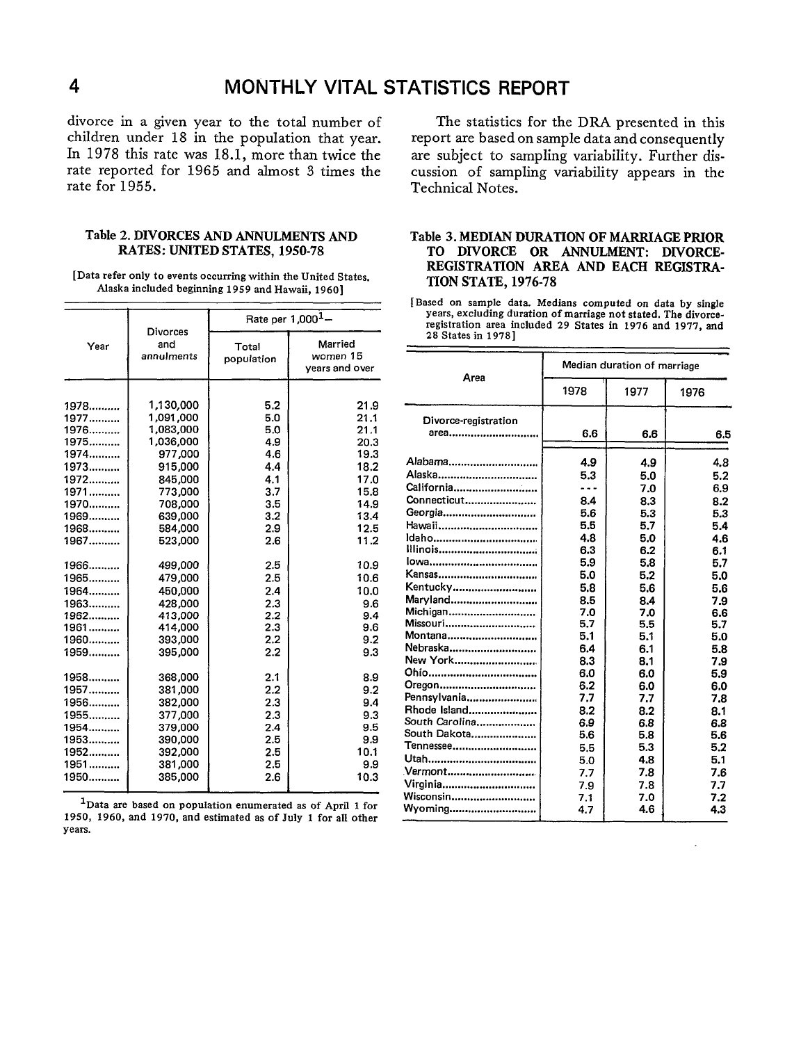divorce in a given year to the total number of The statistics for the DRA presented in this children under 18 in the population that year. In 1978 this rate was 18.1, more than twice the rate reported for 1965 and almost 3 times the rate for 1955.

#### Table 2. DIVORCES AND ANNULMENTS AND RATES: UNITED STATES, 1950-78

[Data refer only to events occurring within the United States. Alaska included beginning 1959 and Hawaii, 1960]

|      | Divorces          | Rate per 1,000 <sup>1</sup> - |                                       |  |  |  |
|------|-------------------|-------------------------------|---------------------------------------|--|--|--|
| Year | and<br>annulments | Total<br>population           | Married<br>women 15<br>years and over |  |  |  |
| 1978 | 1,130,000         | 5.2                           | 21.9                                  |  |  |  |
| 1977 | 1,091,000         | 5.0                           | 21.1                                  |  |  |  |
| 1976 | 1,083,000         | 5.0                           | 21.1                                  |  |  |  |
| 1975 | 1,036,000         | 4.9                           | 20.3                                  |  |  |  |
| 1974 | 977,000           | 4.6                           | 19.3                                  |  |  |  |
| 1973 | 915,000           | 4.4                           | 18.2                                  |  |  |  |
| 1972 | 845,000           | 4.1                           | 17.0                                  |  |  |  |
| 1971 | 773,000           | 3.7                           | 15.8                                  |  |  |  |
| 1970 | 708,000           | 3.5                           | 14.9                                  |  |  |  |
| 1969 | 639,000           | 3.2                           | 13.4                                  |  |  |  |
| 1968 | 584,000           | 2.9                           | 12.5                                  |  |  |  |
| 1967 | 523,000           | 2.6                           | 11.2                                  |  |  |  |
| 1966 | 499,000           | 2.5                           | 10.9                                  |  |  |  |
| 1965 | 479,000           | 2.5                           | 10.6                                  |  |  |  |
| 1964 | 450,000           | 2.4                           | 10.0                                  |  |  |  |
| 1963 | 428,000           | 2.3                           | 9.6                                   |  |  |  |
| 1962 | 413,000           | 2.2                           | 9.4                                   |  |  |  |
| 1961 | 414,000           | 2.3                           | 9.6                                   |  |  |  |
| 1960 | 393,000           | 2.2                           | 9.2                                   |  |  |  |
| 1959 | 395,000           | 2.2                           | 9.3                                   |  |  |  |
| 1958 | 368,000           | 2.1                           | 8.9                                   |  |  |  |
| 1957 | 381,000           | 2.2                           | 9.2                                   |  |  |  |
| 1956 | 382,000           | 2.3                           | 9.4                                   |  |  |  |
| 1955 | 377,000           | 2.3                           | 9.3                                   |  |  |  |
| 1954 | 379,000           | 2.4                           | 9.5                                   |  |  |  |
| 1953 | 390,000           | 2.5                           | 9.9                                   |  |  |  |
| 1952 | 392,000           | 2.5                           | 10.1                                  |  |  |  |
| 1951 | 381,000           | 2.5                           | 9.9                                   |  |  |  |
| 1950 | 385,000           | 2.6                           | 10.3                                  |  |  |  |

**lData are based On population enumerated as** Of **APrfl 1 for 1950, 1960, and 1970, and estimated as** of July 1 for all other years.

report are based on sample data and consequently are subject to sampling variability. Further discussion of sampling variability appears in the Technical Notes.

#### Table 3. MEDIAN DURATION OF MARRIAGE PRIOR TO DIVORCE OR ANNULMENT: DIVORCE-REGISTRATION AREA AND EACH REGISTRA-TION STATE, 1976-78

[Based on sample data. Medians computed on data by single years, excluding duration of marriage not stated. The divorceregistration area included 29 States in 1976 and 1977, and 28 States in 1978 ]

| Area                                                                                                                                                                                                                                                                                               | Median duration of marriage                                                                                                                                                 |                                                                                                                                                                                    |                                                                                                                                                                                    |  |  |  |
|----------------------------------------------------------------------------------------------------------------------------------------------------------------------------------------------------------------------------------------------------------------------------------------------------|-----------------------------------------------------------------------------------------------------------------------------------------------------------------------------|------------------------------------------------------------------------------------------------------------------------------------------------------------------------------------|------------------------------------------------------------------------------------------------------------------------------------------------------------------------------------|--|--|--|
|                                                                                                                                                                                                                                                                                                    | 1978                                                                                                                                                                        | 1977                                                                                                                                                                               | 1976                                                                                                                                                                               |  |  |  |
| Divorce-registration<br>area                                                                                                                                                                                                                                                                       | 6.6                                                                                                                                                                         | 6.6                                                                                                                                                                                | 6.5                                                                                                                                                                                |  |  |  |
| Alabama<br>Alaska<br>California<br>Connecticut<br>Georgia<br>Hawaii<br>ldaho<br>Illinois<br>Kansas<br>Kentucky<br>Maryland<br>Michigan<br>Missouri<br>Montana<br>Nebraska<br>New York<br>Ohio<br>Oregon<br>Pennsylvania<br>Rhode Island<br>South Carolina<br>South Dakota<br>Tennessee<br>.Vermont | 4.9<br>5.3<br>8.4<br>5.6<br>5.5<br>4.8<br>6.3<br>5.9<br>5.0<br>5.8<br>8.5<br>7.0<br>5.7<br>5.1<br>6.4<br>8.3<br>6.0<br>6.2<br>7.7<br>8.2<br>6.9<br>5.6<br>5.5<br>5.0<br>7.7 | 4.9<br>5.0<br>7.0<br>8.3<br>5.3<br>5.7<br>5.0<br>6.2<br>5.8<br>5.2<br>5.6<br>8.4<br>7.0<br>5.5<br>5.1<br>6.1<br>8.1<br>6.0<br>6.0<br>7.7<br>8.2<br>6.8<br>5.8<br>5.3<br>4.8<br>7.8 | 4.8<br>5.2<br>6.9<br>8.2<br>5.3<br>5.4<br>4.6<br>6.1<br>5.7<br>5.0<br>5.6<br>7.9<br>6.6<br>5.7<br>5.0<br>5.8<br>7.9<br>5.9<br>6.0<br>7.8<br>8.1<br>6.8<br>5.6<br>5.2<br>5.1<br>7.6 |  |  |  |
| Virginia<br>Wisconsin<br>Wyoming                                                                                                                                                                                                                                                                   | 7.9<br>7.1<br>4.7                                                                                                                                                           | 7.8<br>7.0<br>4.6                                                                                                                                                                  | 7.7<br>7.2<br>4.3                                                                                                                                                                  |  |  |  |

 $\overline{\mathbf{4}}$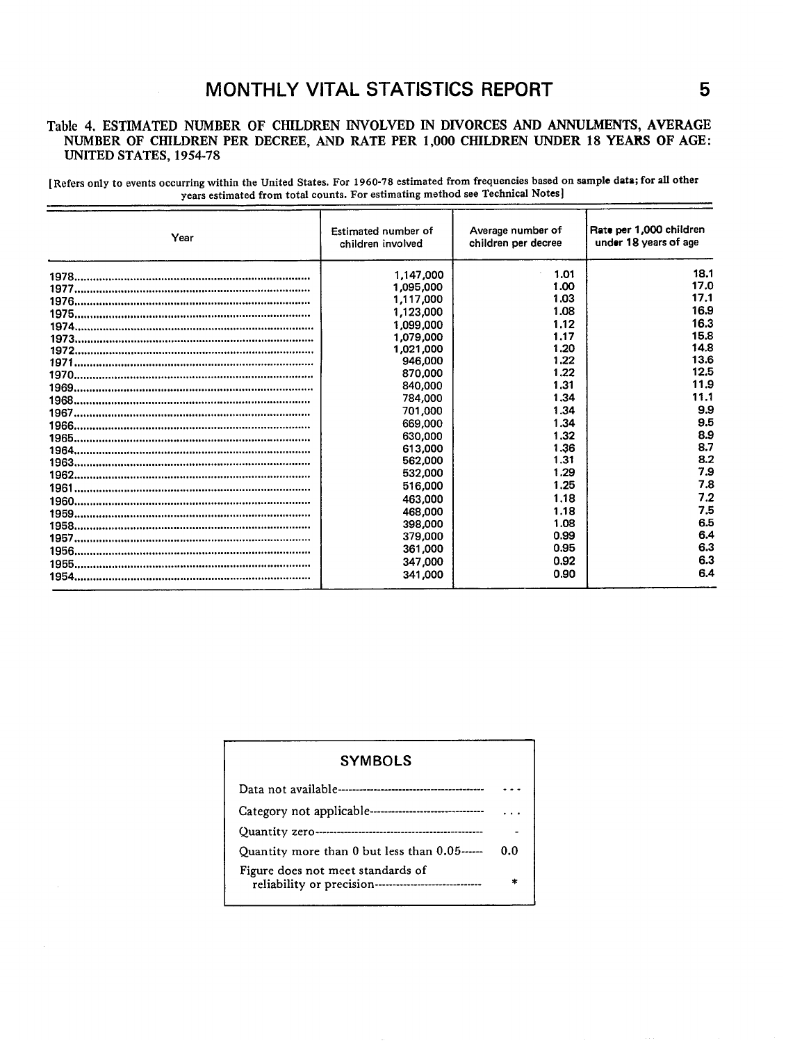### **MONTHLY VITAL STATISTICS REPORT 5**

#### Table 4. ESTIMATED NUMBER OF CHILDREN INVOLVED IN DIVORCES AND ANNULMENTS, AVERAGE NUMBER OF CHILDREN PER DECREE, AND RATE PER 1,000 CHILDREN UNDER 18 YEARS OF AGE: UNITED STATES, 1954-78

[Refers only to events occurring within the United States. For 1960-78 estimated from frequencies based on sample data; for all other vears estimated from total counts. For estimating method see Technical Notes]

| Year | Estimated number of<br>children involved | Average number of<br>children per decree | Rate per 1,000 children<br>under 18 years of age |
|------|------------------------------------------|------------------------------------------|--------------------------------------------------|
|      | 1,147,000                                | 1.01                                     | 18.1                                             |
|      | 1.095,000                                | 1.00                                     | 17.0                                             |
|      | 1,117,000                                | 1.03                                     | 17.1                                             |
|      | 1,123,000                                | 1.08                                     | 16.9                                             |
|      | 1,099,000                                | 1.12                                     | 16.3                                             |
|      | 1,079,000                                | 1.17                                     | 15.8                                             |
|      | 1,021,000                                | 1.20                                     | 14.8                                             |
|      | 946,000                                  | 1.22                                     | 13.6                                             |
|      | 870,000                                  | 1.22                                     | 12.5                                             |
|      | 840.000                                  | 1.31                                     | 11.9                                             |
|      | 784,000                                  | 1.34                                     | 11.1                                             |
|      | 701,000                                  | 1.34                                     | 9.9                                              |
|      | 669.000                                  | 1.34                                     | 9.5                                              |
|      | 630,000                                  | 1.32                                     | 8.9                                              |
|      | 613,000                                  | 1.36                                     | 8.7                                              |
|      | 562.000                                  | 1.31                                     | 8.2                                              |
|      | 532,000                                  | 1.29                                     | 7.9                                              |
|      | 516,000                                  | 1.25                                     | 7.8                                              |
|      | 463.000                                  | 1.18                                     | 7.2                                              |
|      | 468,000                                  | 1.18                                     | 7.5                                              |
|      | 398,000                                  | 1.08                                     | 6.5                                              |
|      | 379,000                                  | 0.99                                     | 6.4                                              |
|      | 361,000                                  | 0.95                                     | 6.3                                              |
|      | 347,000                                  | 0.92                                     | 6.3                                              |
|      | 341,000                                  | 0.90                                     | 6.4                                              |

| <b>SYMBOLS</b>                                                                               |     |
|----------------------------------------------------------------------------------------------|-----|
|                                                                                              |     |
|                                                                                              |     |
|                                                                                              |     |
| Quantity more than 0 but less than 0.05------                                                | 0.0 |
| Figure does not meet standards of<br>reliability or precision------------------------------- |     |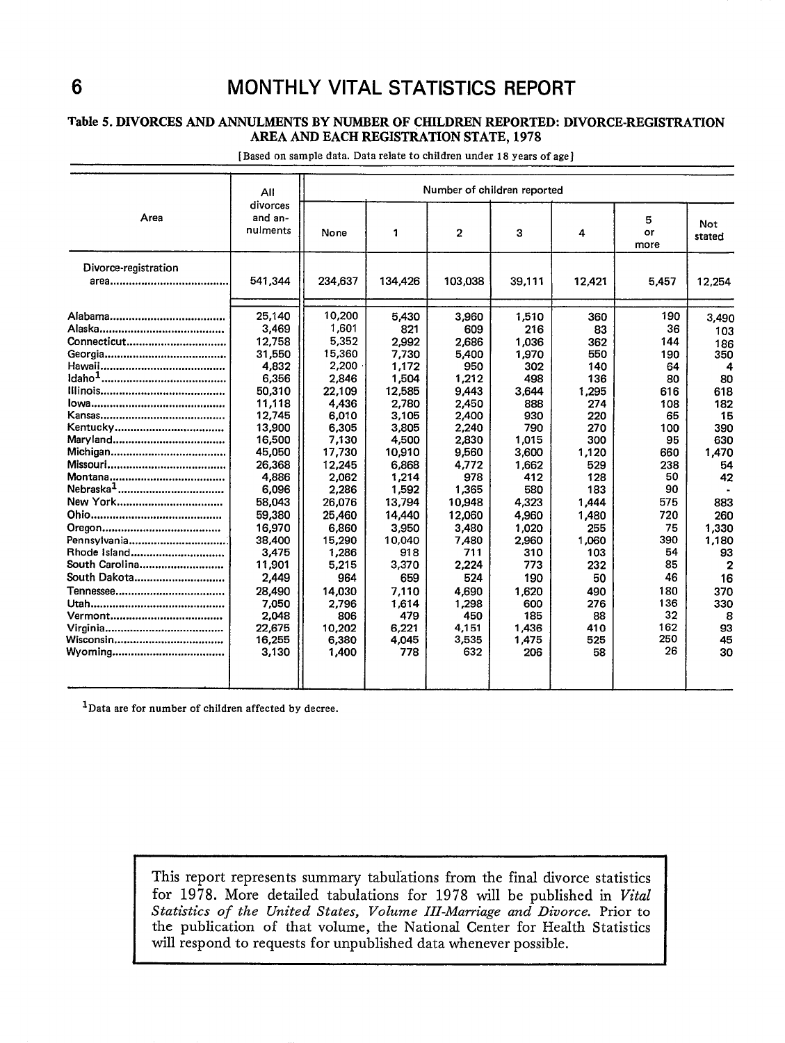## 6 MONTHLY VITAL STATISTICS REPORT

#### Table 5. DIVORCES AND ANNULMENTS BY NUMBER OF CHILDREN REPORTED: DIVORCE-REGISTRATION AREA AND EACH REGISTRATION STATE, 1978

|                      | Number of children reported     |         |         |                |        |        |                 |                |
|----------------------|---------------------------------|---------|---------|----------------|--------|--------|-----------------|----------------|
| Area                 | divorces<br>and an-<br>nulments | None    | 1       | $\overline{2}$ | 3      | 4      | 5<br>or<br>more | Not.<br>stated |
| Divorce-registration |                                 |         |         |                |        |        |                 |                |
|                      | 541.344                         | 234,637 | 134,426 | 103.038        | 39.111 | 12,421 | 5,457           | 12.254         |
|                      | 25.140                          | 10,200  | 5.430   | 3,960          | 1,510  | 360    | 190             | 3,490          |
|                      | 3,469                           | 1,601   | 821     | 609            | 216    | 83     | 36              | 103            |
| Connecticut          | 12,758                          | 5.352   | 2,992   | 2,686          | 1,036  | 362    | 144             | 186            |
|                      | 31.550                          | 15,360  | 7,730   | 5,400          | 1,970  | 550    | 190             | 350            |
|                      | 4,832                           | 2,200   | 1,172   | 950            | 302    | 140    | 64              | 4              |
|                      | 6,356                           | 2,846   | 1,504   | 1,212          | 498    | 136    | 80              | 80             |
|                      | 50,310                          | 22,109  | 12,585  | 9,443          | 3.644  | 1,295  | 616             | 618            |
|                      | 11,118                          | 4,436   | 2,780   | 2.450          | 888    | 274    | 108             | 182            |
|                      | 12,745                          | 6,010   | 3.105   | 2.400          | 930    | 220    | 65              | 15             |
|                      | 13.900                          | 6,305   | 3,805   | 2,240          | 790    | 270    | 100             | 390            |
|                      | 16,500                          | 7.130   | 4,500   | 2,830          | 1.015  | 300    | 95              | 630            |
|                      | 45,050                          | 17,730  | 10,910  | 9,560          | 3,600  | 1,120  | 660             | 1,470          |
|                      | 26,368                          | 12,245  | 6,868   | 4,772          | 1,662  | 529    | 238             | 54             |
|                      | 4.886                           | 2.062   | 1,214   | 978            | 412    | 128    | 50              | 42             |
|                      | 6,096                           | 2,286   | 1,592   | 1,365          | 580    | 183    | 90              |                |
|                      | 58.043                          | 26,076  | 13,794  | 10,948         | 4,323  | 1,444  | 575             | 883            |
|                      | 59,380                          | 25,460  | 14.440  | 12,060         | 4,960  | 1,480  | 720             | 260            |
|                      | 16.970                          | 6.860   | 3.950   | 3.480          | 1.020  | 255    | 75              | 1,330          |
| Pennsylvania         | 38,400                          | 15,290  | 10,040  | 7,480          | 2,960  | 1,060  | 390             | 1,180          |
| Rhode Island         | 3,475                           | 1.286   | 918     | 711            | 310    | 103    | 54              | 93             |
| South Carolina       | 11,901                          | 5,215   | 3,370   | 2,224          | 773    | 232    | 85              |                |
| South Dakota         | 2,449                           | 964     | 659     | 524            | 190    | 50     | 46              | 16             |
|                      | 28.490                          | 14,030  | 7,110   | 4,690          | 1,620  | 490    | 180             | 370            |
|                      | 7.050                           | 2.796   | 1,614   | 1.298          | 600    | 276    | 136             | 330            |
|                      | 2,048                           | 806     | 479     | 450            | 185    | 88     | 32              | 8              |
|                      | 22.675                          | 10,202  | 6,221   | 4.151          | 1.436  | 410    | 162             | 93             |
|                      | 16,255                          | 6,380   | 4,045   | 3,535          | 1,475  | 525    | 250             | 45             |
|                      | 3,130                           | 1,400   | 778     | 632            | 206    | 58     | 26              | 30             |
|                      |                                 |         |         |                |        |        |                 |                |

[Based on sample data. Data relate to children under 18 years of age]

lData are for number of children affected by decree.

This report represents summary tabulations from the final divorce statistics for 1978. More detailed tabulations for 1978 will be published in Vital *Statistics of the United States, Volume III-Marriage and Divorce.* Prior to the publication of that volume, the National Center for Health Statistics will respond to requests for unpublished data whenever possible. 1 I

I 1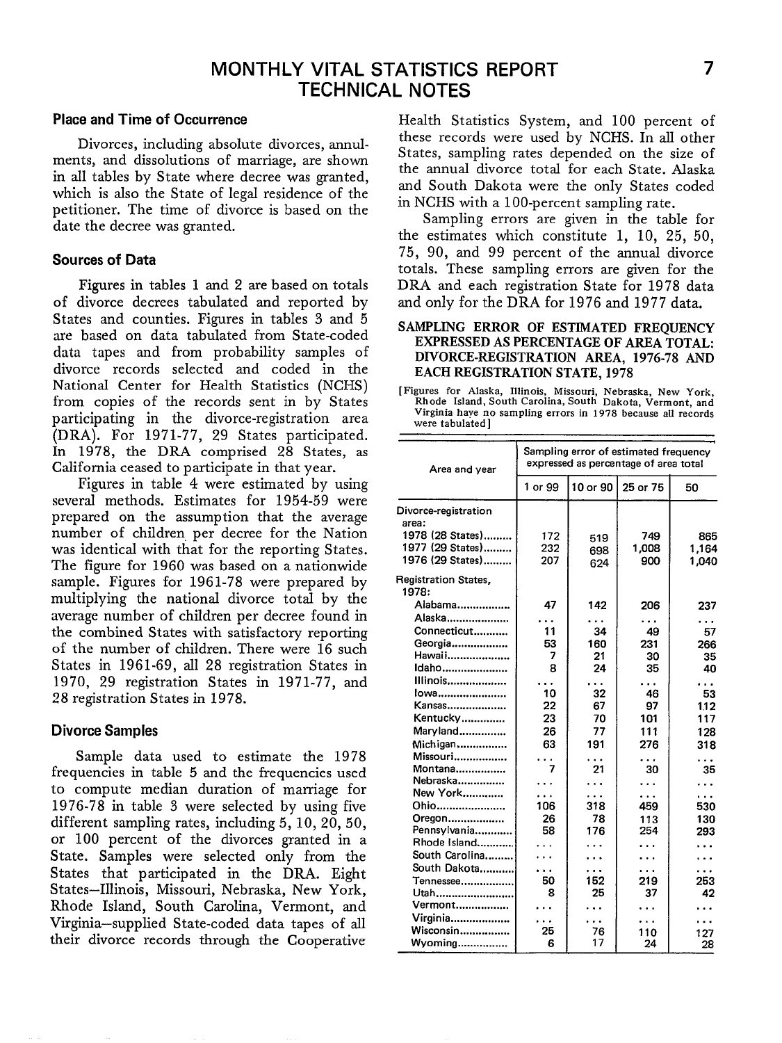### **MONTHLY VITAL STATISTICS REPORT 7 TECHNICAL NOTES**

#### **Place and Time of Occurrence**

Divorces, including absolute divorces, annulments, and dissolutions of marriage, are shown in all tables by State where decree was granted, which is also the State of legal residence of the petitioner. The time of divorce is based on the date the decree was granted.

#### **Sources of Data**

Figures in tables 1 and 2 are based on totals of divorce decrees tabulated and reported by States and counties. Figures in tables 3 and 5 are based on data tabulated from State-coded data tapes and from probability samples of divorce records selected and coded in the National Center for Health Statistics (NCHS) from copies of the records sent in by States participating in the divorce-registration area (DRA). For 1971-77, 29 States participated. In 1978, the DRA comprised 28 States, as California ceased to participate in that year.

Figures in table 4 were estimated by using several methods. Estimates for 1954-59 were prepared on the assumption that the average number of children, per decree for the Nation was identical with that for the reporting States. The figure for 1960 was based on a nationwide sample. Figures for 1961-78 were prepared by multiplying the national divorce total by the werage number of children per decree found in the combined States with satisfactory reporting of the number of children. There were 16 such States in 1961-69, all 28 registration States in 1970, 29 registration States in 1971-77, and 28 registration States in 1978.

#### **Divorce Samples**

Sample data used to estimate the 1978 frequencies in table 5 and the frequencies used to compute median duration of marriage for 1976-78 in table 3 were selected by using five different sampling rates, including 5, 10,20,50, or 100 percent of the divorces granted in a State, Samples were selected only from the States that participated in the DRA. Eight States–Illinois, Missouri, Nebraska, New York, Rhode Island, South Carolina, Vermont, and Virginia-supplied State-coded data tapes of all their divorce records through the Cooperative

Health Statistics System, and 100 percent of these records were used by NCHS. In all other States, sampling rates depended on the size of the annual divorce total for each State. Alaska and South Dakota were the only States coded in NCHS with a 100-percent sampling rate.

Sampling errors are given in the table for the estimates which constitute 1, 10, 25, 50, 75, 90, and 99 percent of the annual divorce totals. These sampling errors are given for the DRA and each registration State for 1978 data and only for the DRA for 1976 and 1977 data.

#### SAMPLING ERROR OF ESTIMATED FREQUENCY EXPRESSED AS PERCENTAGE OF AREA TOTAL: DIVORCE-REGISTRATION AREA, 1976-78 AND EACH REGISTRATION STATE, 1978

[**Figures for Alaska, Illinois, Missouri, Nebraska, New York, Rhode Island, South Carolina, South Dakota, Vermont, and Virginia have no sampling errors in 1978 because all records were tabulated ]** 

|                                      |                      |          |          | Sampling error of estimated frequency<br>expressed as percentage of area total |  |  |
|--------------------------------------|----------------------|----------|----------|--------------------------------------------------------------------------------|--|--|
| Area and year                        | 1 or 99              | 10 or 90 | 25 or 75 | 50                                                                             |  |  |
| Divorce-registration                 |                      |          |          |                                                                                |  |  |
| area:                                |                      |          |          |                                                                                |  |  |
| 1978 (28 States)                     | 172                  | 519      | 749      | 865                                                                            |  |  |
| 1977 (29 States)                     | 232                  | 698      | 1,008    | 1.164                                                                          |  |  |
| 1976 (29 States)                     | 207                  | 624      | 900      | 1,040                                                                          |  |  |
| <b>Registration States,</b><br>1978: |                      |          |          |                                                                                |  |  |
| Alabama                              | 47                   | 142      | 206      | 237                                                                            |  |  |
| Alaska                               | $\ddot{\phantom{a}}$ |          | .        |                                                                                |  |  |
| Connecticut                          | 11                   | 34       | 49       | 57                                                                             |  |  |
| Georgia                              | 53                   | 160      | 231      | 266                                                                            |  |  |
| Hawaii                               | 7                    | 21       | 30       | 35                                                                             |  |  |
| Idaho                                | 8                    | 24       | 35       | 40                                                                             |  |  |
| Illinois                             |                      |          | .        | .                                                                              |  |  |
| lowa                                 | 10                   | 32       | 46       | 53                                                                             |  |  |
| Kansas                               | 22                   | 67       | 97       | 112                                                                            |  |  |
| Kentucky                             | 23                   | 70       | 101      | 117                                                                            |  |  |
| Maryland                             | 26                   | 77       | 111      | 128                                                                            |  |  |
| Michigan                             | 63                   | 191      | 276      | 318                                                                            |  |  |
| Missouri                             |                      | .        |          |                                                                                |  |  |
| Montana                              | 7                    | 21       | .<br>30  | 35                                                                             |  |  |
| Nebraska                             |                      | .        | .        | $\ddotsc$                                                                      |  |  |
| New York                             | .                    |          | .        | $\ddot{\phantom{a}}$                                                           |  |  |
| Ohio                                 | 106                  | 318      | 459      | 530                                                                            |  |  |
| Oregon                               | 26                   | 78       | 113      | 130                                                                            |  |  |
| Pennsylvania                         | 58                   | 176      | 254      | 293                                                                            |  |  |
| Rhode Island                         |                      |          |          |                                                                                |  |  |
| South Carolina                       |                      |          |          |                                                                                |  |  |
| South Dakota                         | .                    |          |          |                                                                                |  |  |
| Tennessee                            | 50                   | 152      | 219      | 253                                                                            |  |  |
| Utah                                 | 8                    | 25       | 37       | 42                                                                             |  |  |
| Vermont                              |                      |          |          |                                                                                |  |  |
| Virginia                             |                      |          |          |                                                                                |  |  |
| Wisconsin                            | 25                   | 76       | 110      | 127                                                                            |  |  |
| Wyoming                              | 6                    | 17       | 24       | 28                                                                             |  |  |
|                                      |                      |          |          |                                                                                |  |  |